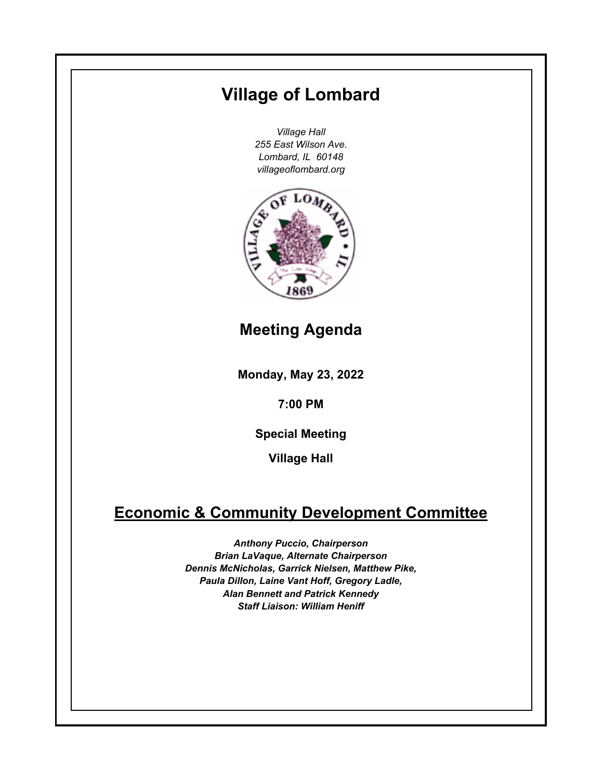# **Monday, May 23, 2022 7:00 PM Village of Lombard** *Village Hall 255 East Wilson Ave. Lombard, IL 60148 villageoflombard.org* **Village Hall Meeting Agenda Special Meeting Economic & Community Development Committee** *Anthony Puccio, Chairperson Brian LaVaque, Alternate Chairperson Dennis McNicholas, Garrick Nielsen, Matthew Pike, Paula Dillon, Laine Vant Hoff, Gregory Ladle, Alan Bennett and Patrick Kennedy Staff Liaison: William Heniff*